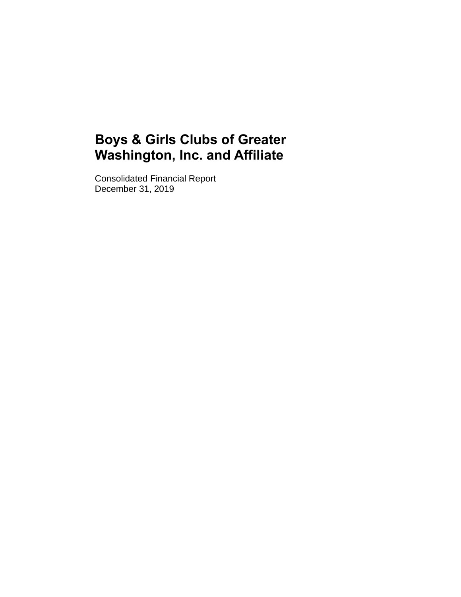Consolidated Financial Report December 31, 2019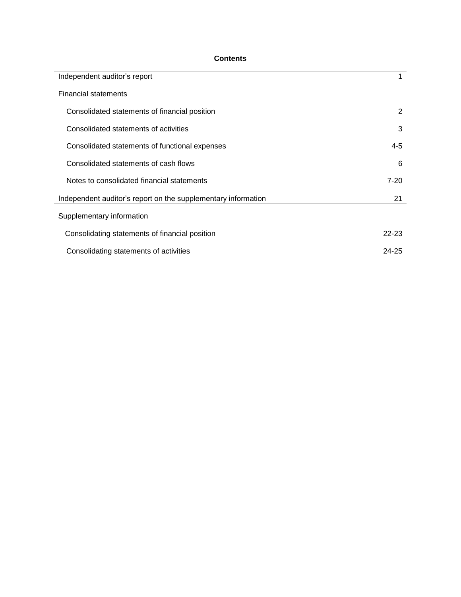# **Contents**

| Independent auditor's report                                  |           |
|---------------------------------------------------------------|-----------|
| <b>Financial statements</b>                                   |           |
| Consolidated statements of financial position                 | 2         |
| Consolidated statements of activities                         | 3         |
| Consolidated statements of functional expenses                | 4-5       |
| Consolidated statements of cash flows                         | 6         |
| Notes to consolidated financial statements                    | $7-20$    |
| Independent auditor's report on the supplementary information | 21        |
| Supplementary information                                     |           |
| Consolidating statements of financial position                | $22 - 23$ |
| Consolidating statements of activities                        | $24 - 25$ |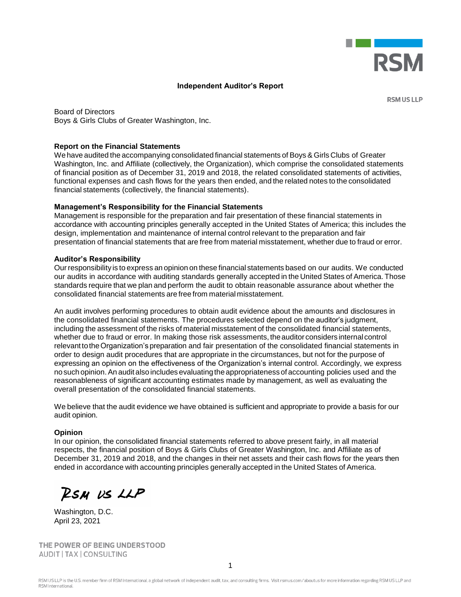

# **Independent Auditor's Report**

**RSM US LLP** 

Board of Directors Boys & Girls Clubs of Greater Washington, Inc.

#### **Report on the Financial Statements**

We have audited the accompanying consolidated financial statements of Boys & Girls Clubs of Greater Washington, Inc. and Affiliate (collectively, the Organization), which comprise the consolidated statements of financial position as of December 31, 2019 and 2018, the related consolidated statements of activities, functional expenses and cash flows for the years then ended, and the related notes to the consolidated financial statements (collectively, the financial statements).

#### **Management's Responsibility for the Financial Statements**

Management is responsible for the preparation and fair presentation of these financial statements in accordance with accounting principles generally accepted in the United States of America; this includes the design, implementation and maintenance of internal control relevant to the preparation and fair presentation of financial statements that are free from material misstatement, whether due to fraud or error.

#### **Auditor's Responsibility**

Ourresponsibility is to express an opinion on these financial statements based on our audits. We conducted our audits in accordance with auditing standards generally accepted in the United States of America. Those standards require that we plan and perform the audit to obtain reasonable assurance about whether the consolidated financial statements are free from material misstatement.

An audit involves performing procedures to obtain audit evidence about the amounts and disclosures in the consolidated financial statements. The procedures selected depend on the auditor's judgment, including the assessment of the risks of material misstatement of the consolidated financial statements, whether due to fraud or error. In making those risk assessments, the auditor considers internal control relevanttotheOrganization's preparation and fair presentation of the consolidated financial statements in order to design audit procedures that are appropriate in the circumstances, but not for the purpose of expressing an opinion on the effectiveness of the Organization's internal control. Accordingly, we express nosuch opinion.An auditalsoincludes evaluatingtheappropriateness of accounting policies used and the reasonableness of significant accounting estimates made by management, as well as evaluating the overall presentation of the consolidated financial statements.

We believe that the audit evidence we have obtained is sufficient and appropriate to provide a basis for our audit opinion.

#### **Opinion**

In our opinion, the consolidated financial statements referred to above present fairly, in all material respects, the financial position of Boys & Girls Clubs of Greater Washington, Inc. and Affiliate as of December 31, 2019 and 2018, and the changes in their net assets and their cash flows for the years then ended in accordance with accounting principles generally accepted in the United States of America.

RSM US LLP

Washington, D.C. April 23, 2021

THE POWER OF BEING UNDERSTOOD AUDIT | TAX | CONSULTING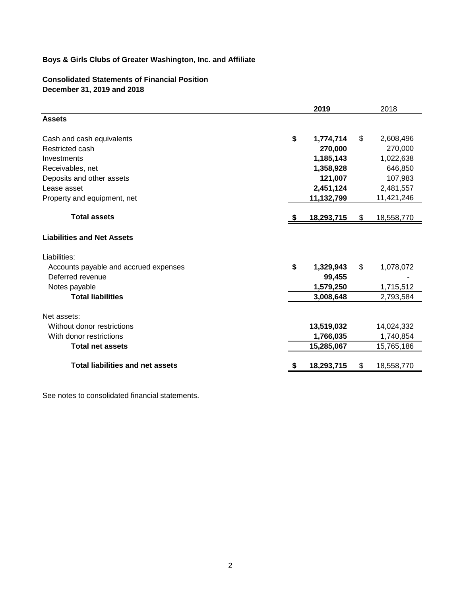# **Consolidated Statements of Financial Position December 31, 2019 and 2018**

|                                         | 2019            |     | 2018       |
|-----------------------------------------|-----------------|-----|------------|
| <b>Assets</b>                           |                 |     |            |
| Cash and cash equivalents               | \$<br>1,774,714 | \$. | 2,608,496  |
| Restricted cash                         | 270,000         |     | 270,000    |
| Investments                             | 1,185,143       |     | 1,022,638  |
| Receivables, net                        | 1,358,928       |     | 646,850    |
| Deposits and other assets               | 121,007         |     | 107,983    |
| Lease asset                             | 2,451,124       |     | 2,481,557  |
| Property and equipment, net             | 11,132,799      |     | 11,421,246 |
| <b>Total assets</b>                     | 18,293,715      | \$  | 18,558,770 |
| <b>Liabilities and Net Assets</b>       |                 |     |            |
| Liabilities:                            |                 |     |            |
| Accounts payable and accrued expenses   | \$<br>1,329,943 | \$  | 1,078,072  |
| Deferred revenue                        | 99,455          |     |            |
| Notes payable                           | 1,579,250       |     | 1,715,512  |
| <b>Total liabilities</b>                | 3,008,648       |     | 2,793,584  |
| Net assets:                             |                 |     |            |
| Without donor restrictions              | 13,519,032      |     | 14,024,332 |
| With donor restrictions                 | 1,766,035       |     | 1,740,854  |
| <b>Total net assets</b>                 | 15,285,067      |     | 15,765,186 |
| <b>Total liabilities and net assets</b> | 18,293,715      | \$  | 18,558,770 |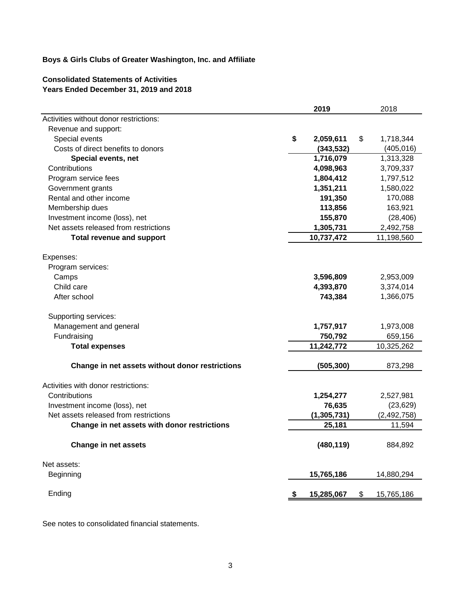# **Consolidated Statements of Activities Years Ended December 31, 2019 and 2018**

|                                                 | 2019            | 2018             |  |
|-------------------------------------------------|-----------------|------------------|--|
| Activities without donor restrictions:          |                 |                  |  |
| Revenue and support:                            |                 |                  |  |
| Special events                                  | \$<br>2,059,611 | 1,718,344<br>\$  |  |
| Costs of direct benefits to donors              | (343, 532)      | (405, 016)       |  |
| Special events, net                             | 1,716,079       | 1,313,328        |  |
| Contributions                                   | 4,098,963       | 3,709,337        |  |
| Program service fees                            | 1,804,412       | 1,797,512        |  |
| Government grants                               | 1,351,211       | 1,580,022        |  |
| Rental and other income                         | 191,350         | 170,088          |  |
| Membership dues                                 | 113,856         | 163,921          |  |
| Investment income (loss), net                   | 155,870         | (28, 406)        |  |
| Net assets released from restrictions           | 1,305,731       | 2,492,758        |  |
| <b>Total revenue and support</b>                | 10,737,472      | 11,198,560       |  |
| Expenses:                                       |                 |                  |  |
| Program services:                               |                 |                  |  |
| Camps                                           | 3,596,809       | 2,953,009        |  |
| Child care                                      | 4,393,870       | 3,374,014        |  |
| After school                                    | 743,384         | 1,366,075        |  |
| Supporting services:                            |                 |                  |  |
| Management and general                          | 1,757,917       | 1,973,008        |  |
| Fundraising                                     | 750,792         | 659,156          |  |
| <b>Total expenses</b>                           | 11,242,772      | 10,325,262       |  |
| Change in net assets without donor restrictions | (505, 300)      | 873,298          |  |
| Activities with donor restrictions:             |                 |                  |  |
| Contributions                                   | 1,254,277       | 2,527,981        |  |
| Investment income (loss), net                   | 76,635          | (23, 629)        |  |
| Net assets released from restrictions           | (1, 305, 731)   | (2, 492, 758)    |  |
| Change in net assets with donor restrictions    | 25,181          | 11,594           |  |
| <b>Change in net assets</b>                     | (480, 119)      | 884,892          |  |
| Net assets:                                     |                 |                  |  |
| Beginning                                       | 15,765,186      | 14,880,294       |  |
| Ending                                          | 15,285,067      | \$<br>15,765,186 |  |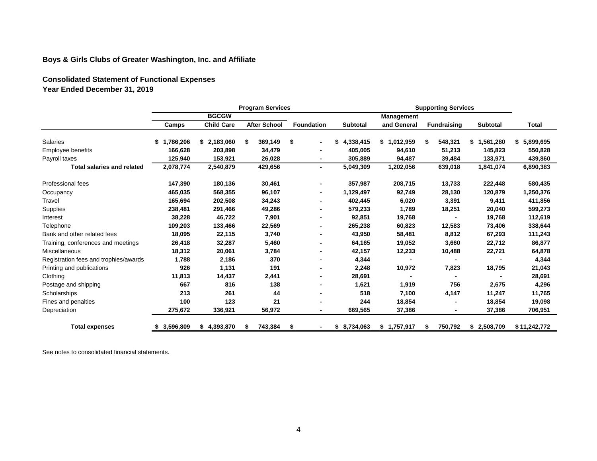**Consolidated Statement of Functional Expenses Year Ended December 31, 2019**

|                                       | <b>Program Services</b> |                   |                     |     | <b>Supporting Services</b> |                 |                   |   |                    |                 |                 |
|---------------------------------------|-------------------------|-------------------|---------------------|-----|----------------------------|-----------------|-------------------|---|--------------------|-----------------|-----------------|
|                                       |                         | <b>BGCGW</b>      |                     |     |                            |                 | <b>Management</b> |   |                    |                 |                 |
|                                       | Camps                   | <b>Child Care</b> | <b>After School</b> |     | <b>Foundation</b>          | <b>Subtotal</b> | and General       |   | <b>Fundraising</b> | Subtotal        | <b>Total</b>    |
| <b>Salaries</b>                       | 1,786,206<br>S.         | \$2,183,060       | S.<br>369,149       |     | \$<br>$\blacksquare$       | 4,338,415<br>S  | \$1,012,959       | S | 548,321            | 1,561,280<br>\$ | 5,899,695<br>\$ |
| Employee benefits                     | 166,628                 | 203,898           | 34,479              |     |                            | 405,005         | 94,610            |   | 51,213             | 145,823         | 550,828         |
| Payroll taxes                         | 125,940                 | 153,921           | 26,028              |     | $\blacksquare$             | 305,889         | 94,487            |   | 39,484             | 133,971         | 439,860         |
| <b>Total salaries and related</b>     | 2,078,774               | 2,540,879         | 429,656             |     | $\blacksquare$             | 5,049,309       | 1,202,056         |   | 639,018            | 1,841,074       | 6,890,383       |
| <b>Professional fees</b>              | 147,390                 | 180,136           | 30,461              |     | $\blacksquare$             | 357,987         | 208,715           |   | 13,733             | 222,448         | 580,435         |
| Occupancy                             | 465,035                 | 568,355           | 96,107              |     | ۰.                         | 1,129,497       | 92,749            |   | 28,130             | 120,879         | 1,250,376       |
| Travel                                | 165,694                 | 202,508           | 34,243              |     | $\blacksquare$             | 402,445         | 6,020             |   | 3,391              | 9,411           | 411,856         |
| Supplies                              | 238,481                 | 291,466           | 49,286              |     |                            | 579,233         | 1,789             |   | 18,251             | 20,040          | 599,273         |
| Interest                              | 38,228                  | 46,722            | 7,901               |     |                            | 92,851          | 19,768            |   |                    | 19,768          | 112,619         |
| Telephone                             | 109,203                 | 133,466           | 22,569              |     | $\blacksquare$             | 265,238         | 60,823            |   | 12,583             | 73,406          | 338,644         |
| Bank and other related fees           | 18,095                  | 22,115            | 3,740               |     | $\blacksquare$             | 43,950          | 58,481            |   | 8,812              | 67,293          | 111,243         |
| Training, conferences and meetings    | 26,418                  | 32,287            | 5,460               |     |                            | 64,165          | 19,052            |   | 3,660              | 22,712          | 86,877          |
| <b>Miscellaneous</b>                  | 18,312                  | 20,061            | 3,784               |     | $\blacksquare$             | 42,157          | 12,233            |   | 10,488             | 22,721          | 64,878          |
| Registration fees and trophies/awards | 1,788                   | 2,186             |                     | 370 | $\blacksquare$             | 4,344           |                   |   |                    |                 | 4,344           |
| Printing and publications             | 926                     | 1,131             |                     | 191 | $\blacksquare$             | 2,248           | 10,972            |   | 7,823              | 18,795          | 21,043          |
| Clothing                              | 11,813                  | 14,437            | 2,441               |     | $\blacksquare$             | 28,691          |                   |   |                    |                 | 28,691          |
| Postage and shipping                  | 667                     | 816               |                     | 138 | $\blacksquare$             | 1,621           | 1,919             |   | 756                | 2,675           | 4,296           |
| Scholarships                          | 213                     | 261               |                     | 44  | $\blacksquare$             | 518             | 7,100             |   | 4,147              | 11,247          | 11,765          |
| Fines and penalties                   | 100                     | 123               |                     | 21  | $\overline{\phantom{0}}$   | 244             | 18,854            |   |                    | 18,854          | 19,098          |
| Depreciation                          | 275,672                 | 336,921           | 56,972              |     | $\blacksquare$             | 669,565         | 37,386            |   |                    | 37,386          | 706,951         |
| <b>Total expenses</b>                 | 3,596,809               | \$4,393,870       | 743,384<br>S        |     | \$<br>$\blacksquare$       | \$8,734,063     | \$1,757,917       | S | 750,792            | \$2,508,709     | \$11,242,772    |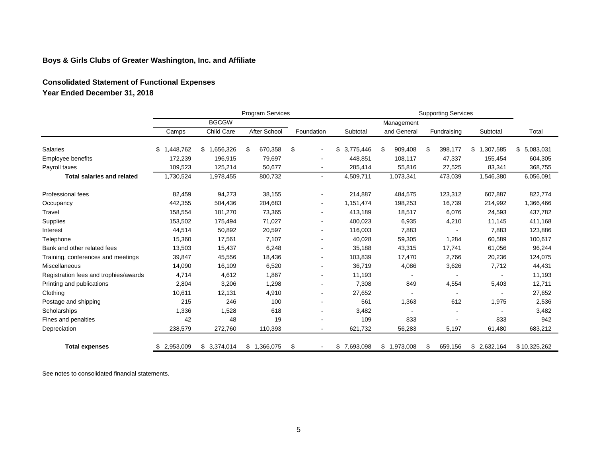# **Consolidated Statement of Functional Expenses Year Ended December 31, 2018**

|                                       | Program Services<br><b>Supporting Services</b> |              |               |                              |             |               |               |                 |              |
|---------------------------------------|------------------------------------------------|--------------|---------------|------------------------------|-------------|---------------|---------------|-----------------|--------------|
|                                       |                                                | <b>BGCGW</b> |               |                              |             | Management    |               |                 |              |
|                                       | Camps                                          | Child Care   | After School  | Foundation                   | Subtotal    | and General   | Fundraising   | Subtotal        | Total        |
| Salaries                              | .448,762<br>\$1                                | \$1,656,326  | 670,358<br>\$ | \$<br>$\blacksquare$         | \$3,775,446 | 909,408<br>\$ | 398,177<br>\$ | 1,307,585<br>\$ | \$5,083,031  |
| Employee benefits                     | 172,239                                        | 196,915      | 79,697        | $\blacksquare$               | 448,851     | 108,117       | 47,337        | 155,454         | 604,305      |
| Payroll taxes                         | 109,523                                        | 125,214      | 50,677        | $\blacksquare$               | 285,414     | 55,816        | 27,525        | 83,341          | 368,755      |
| <b>Total salaries and related</b>     | 1,730,524                                      | 1,978,455    | 800,732       | $\blacksquare$               | 4,509,711   | 1,073,341     | 473,039       | 1,546,380       | 6,056,091    |
| <b>Professional fees</b>              | 82,459                                         | 94,273       | 38,155        | $\blacksquare$               | 214,887     | 484,575       | 123,312       | 607,887         | 822,774      |
| Occupancy                             | 442,355                                        | 504,436      | 204,683       | $\qquad \qquad \blacksquare$ | 1,151,474   | 198,253       | 16,739        | 214,992         | 1,366,466    |
| Travel                                | 158,554                                        | 181,270      | 73,365        | $\blacksquare$               | 413,189     | 18,517        | 6,076         | 24,593          | 437,782      |
| Supplies                              | 153,502                                        | 175,494      | 71,027        | $\overline{\phantom{a}}$     | 400,023     | 6,935         | 4,210         | 11,145          | 411,168      |
| Interest                              | 44,514                                         | 50,892       | 20,597        | $\blacksquare$               | 116,003     | 7,883         |               | 7,883           | 123,886      |
| Telephone                             | 15,360                                         | 17,561       | 7,107         | $\blacksquare$               | 40,028      | 59,305        | 1,284         | 60,589          | 100,617      |
| Bank and other related fees           | 13,503                                         | 15,437       | 6,248         | $\blacksquare$               | 35,188      | 43,315        | 17,741        | 61,056          | 96,244       |
| Training, conferences and meetings    | 39,847                                         | 45,556       | 18,436        | $\blacksquare$               | 103,839     | 17,470        | 2,766         | 20,236          | 124,075      |
| Miscellaneous                         | 14,090                                         | 16,109       | 6,520         | $\blacksquare$               | 36,719      | 4,086         | 3,626         | 7,712           | 44,431       |
| Registration fees and trophies/awards | 4,714                                          | 4,612        | 1,867         | $\overline{\phantom{a}}$     | 11,193      |               |               |                 | 11,193       |
| Printing and publications             | 2,804                                          | 3,206        | 1,298         | $\blacksquare$               | 7,308       | 849           | 4,554         | 5,403           | 12,711       |
| Clothing                              | 10,611                                         | 12,131       | 4,910         | $\blacksquare$               | 27,652      |               |               |                 | 27,652       |
| Postage and shipping                  | 215                                            | 246          | 100           |                              | 561         | 1,363         | 612           | 1,975           | 2,536        |
| Scholarships                          | 1,336                                          | 1,528        | 618           | $\blacksquare$               | 3,482       |               |               |                 | 3,482        |
| Fines and penalties                   | 42                                             | 48           | 19            |                              | 109         | 833           |               | 833             | 942          |
| Depreciation                          | 238,579                                        | 272,760      | 110,393       | $\blacksquare$               | 621,732     | 56,283        | 5,197         | 61,480          | 683,212      |
| <b>Total expenses</b>                 | 2,953,009<br>S                                 | \$3,374,014  | \$1,366,075   | \$                           | \$7,693,098 | \$1,973,008   | 659,156<br>\$ | \$2,632,164     | \$10,325,262 |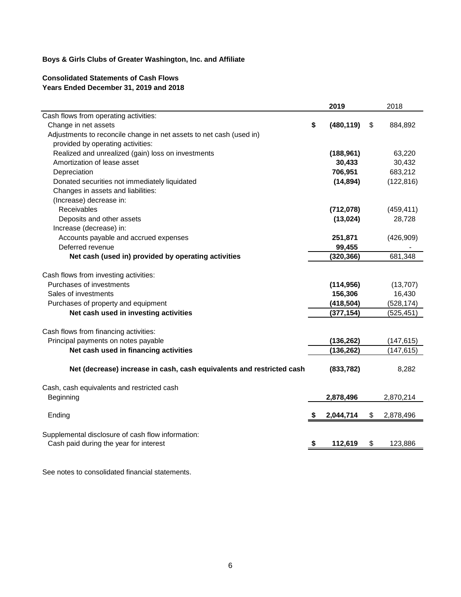### **Consolidated Statements of Cash Flows Years Ended December 31, 2019 and 2018**

|                                                                       |    | 2019       | 2018            |
|-----------------------------------------------------------------------|----|------------|-----------------|
| Cash flows from operating activities:                                 |    |            |                 |
| Change in net assets                                                  | \$ | (480, 119) | \$<br>884,892   |
| Adjustments to reconcile change in net assets to net cash (used in)   |    |            |                 |
| provided by operating activities:                                     |    |            |                 |
| Realized and unrealized (gain) loss on investments                    |    | (188, 961) | 63,220          |
| Amortization of lease asset                                           |    | 30,433     | 30,432          |
| Depreciation                                                          |    | 706,951    | 683,212         |
| Donated securities not immediately liquidated                         |    | (14, 894)  | (122, 816)      |
| Changes in assets and liabilities:                                    |    |            |                 |
| (Increase) decrease in:                                               |    |            |                 |
| Receivables                                                           |    | (712, 078) | (459, 411)      |
| Deposits and other assets                                             |    | (13,024)   | 28,728          |
| Increase (decrease) in:                                               |    |            |                 |
| Accounts payable and accrued expenses                                 |    | 251,871    | (426,909)       |
| Deferred revenue                                                      |    | 99,455     |                 |
| Net cash (used in) provided by operating activities                   |    | (320, 366) | 681,348         |
|                                                                       |    |            |                 |
| Cash flows from investing activities:                                 |    |            |                 |
| Purchases of investments                                              |    | (114, 956) | (13,707)        |
| Sales of investments                                                  |    | 156,306    | 16,430          |
| Purchases of property and equipment                                   |    | (418, 504) | (528, 174)      |
| Net cash used in investing activities                                 |    | (377, 154) | (525, 451)      |
| Cash flows from financing activities:                                 |    |            |                 |
| Principal payments on notes payable                                   |    | (136, 262) | (147, 615)      |
| Net cash used in financing activities                                 |    | (136, 262) | (147, 615)      |
|                                                                       |    |            |                 |
| Net (decrease) increase in cash, cash equivalents and restricted cash |    | (833, 782) | 8,282           |
|                                                                       |    |            |                 |
| Cash, cash equivalents and restricted cash                            |    |            |                 |
| Beginning                                                             |    | 2,878,496  | 2,870,214       |
| Ending                                                                | S  | 2,044,714  | \$<br>2,878,496 |
|                                                                       |    |            |                 |
| Supplemental disclosure of cash flow information:                     |    |            |                 |
| Cash paid during the year for interest                                | \$ | 112,619    | \$<br>123,886   |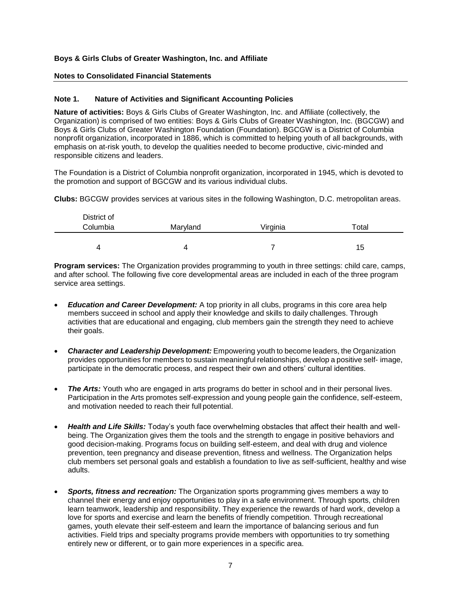### **Notes to Consolidated Financial Statements**

#### **Note 1. Nature of Activities and Significant Accounting Policies**

**Nature of activities:** Boys & Girls Clubs of Greater Washington, Inc. and Affiliate (collectively, the Organization) is comprised of two entities: Boys & Girls Clubs of Greater Washington, Inc. (BGCGW) and Boys & Girls Clubs of Greater Washington Foundation (Foundation). BGCGW is a District of Columbia nonprofit organization, incorporated in 1886, which is committed to helping youth of all backgrounds, with emphasis on at-risk youth, to develop the qualities needed to become productive, civic-minded and responsible citizens and leaders.

The Foundation is a District of Columbia nonprofit organization, incorporated in 1945, which is devoted to the promotion and support of BGCGW and its various individual clubs.

**Clubs:** BGCGW provides services at various sites in the following Washington, D.C. metropolitan areas.

| District of |          |          |             |
|-------------|----------|----------|-------------|
| Columbia    | Maryland | Virginia | $\tau$ otal |
|             |          |          |             |
|             | 4        |          | 15          |

**Program services:** The Organization provides programming to youth in three settings: child care, camps, and after school. The following five core developmental areas are included in each of the three program service area settings.

- *Education and Career Development:* A top priority in all clubs, programs in this core area help members succeed in school and apply their knowledge and skills to daily challenges. Through activities that are educational and engaging, club members gain the strength they need to achieve their goals.
- *Character and Leadership Development:* Empowering youth to become leaders, the Organization provides opportunities for members to sustain meaningful relationships, develop a positive self- image, participate in the democratic process, and respect their own and others' cultural identities.
- **The Arts:** Youth who are engaged in arts programs do better in school and in their personal lives. Participation in the Arts promotes self-expression and young people gain the confidence, self-esteem, and motivation needed to reach their full potential.
- *Health and Life Skills:* Today's youth face overwhelming obstacles that affect their health and wellbeing. The Organization gives them the tools and the strength to engage in positive behaviors and good decision-making. Programs focus on building self-esteem, and deal with drug and violence prevention, teen pregnancy and disease prevention, fitness and wellness. The Organization helps club members set personal goals and establish a foundation to live as self-sufficient, healthy and wise adults.
- *Sports, fitness and recreation:* The Organization sports programming gives members a way to channel their energy and enjoy opportunities to play in a safe environment. Through sports, children learn teamwork, leadership and responsibility. They experience the rewards of hard work, develop a love for sports and exercise and learn the benefits of friendly competition. Through recreational games, youth elevate their self-esteem and learn the importance of balancing serious and fun activities. Field trips and specialty programs provide members with opportunities to try something entirely new or different, or to gain more experiences in a specific area.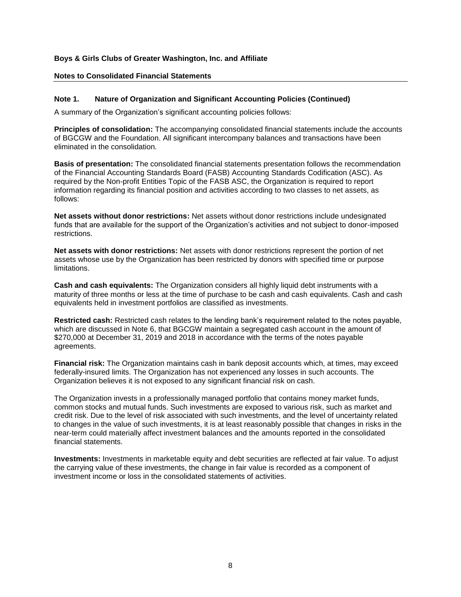### **Notes to Consolidated Financial Statements**

### **Note 1. Nature of Organization and Significant Accounting Policies (Continued)**

A summary of the Organization's significant accounting policies follows:

**Principles of consolidation:** The accompanying consolidated financial statements include the accounts of BGCGW and the Foundation. All significant intercompany balances and transactions have been eliminated in the consolidation.

**Basis of presentation:** The consolidated financial statements presentation follows the recommendation of the Financial Accounting Standards Board (FASB) Accounting Standards Codification (ASC). As required by the Non-profit Entities Topic of the FASB ASC, the Organization is required to report information regarding its financial position and activities according to two classes to net assets, as follows:

**Net assets without donor restrictions:** Net assets without donor restrictions include undesignated funds that are available for the support of the Organization's activities and not subject to donor-imposed restrictions.

**Net assets with donor restrictions:** Net assets with donor restrictions represent the portion of net assets whose use by the Organization has been restricted by donors with specified time or purpose limitations.

**Cash and cash equivalents:** The Organization considers all highly liquid debt instruments with a maturity of three months or less at the time of purchase to be cash and cash equivalents. Cash and cash equivalents held in investment portfolios are classified as investments.

**Restricted cash:** Restricted cash relates to the lending bank's requirement related to the notes payable, which are discussed in Note 6, that BGCGW maintain a segregated cash account in the amount of \$270,000 at December 31, 2019 and 2018 in accordance with the terms of the notes payable agreements.

**Financial risk:** The Organization maintains cash in bank deposit accounts which, at times, may exceed federally-insured limits. The Organization has not experienced any losses in such accounts. The Organization believes it is not exposed to any significant financial risk on cash.

The Organization invests in a professionally managed portfolio that contains money market funds, common stocks and mutual funds. Such investments are exposed to various risk, such as market and credit risk. Due to the level of risk associated with such investments, and the level of uncertainty related to changes in the value of such investments, it is at least reasonably possible that changes in risks in the near-term could materially affect investment balances and the amounts reported in the consolidated financial statements.

**Investments:** Investments in marketable equity and debt securities are reflected at fair value. To adjust the carrying value of these investments, the change in fair value is recorded as a component of investment income or loss in the consolidated statements of activities.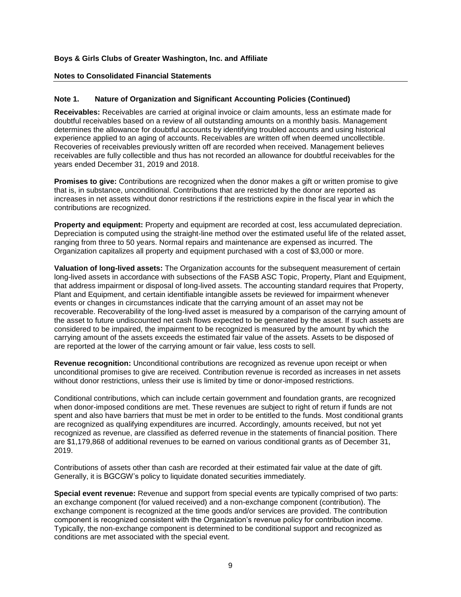### **Notes to Consolidated Financial Statements**

### **Note 1. Nature of Organization and Significant Accounting Policies (Continued)**

**Receivables:** Receivables are carried at original invoice or claim amounts, less an estimate made for doubtful receivables based on a review of all outstanding amounts on a monthly basis. Management determines the allowance for doubtful accounts by identifying troubled accounts and using historical experience applied to an aging of accounts. Receivables are written off when deemed uncollectible. Recoveries of receivables previously written off are recorded when received. Management believes receivables are fully collectible and thus has not recorded an allowance for doubtful receivables for the years ended December 31, 2019 and 2018.

**Promises to give:** Contributions are recognized when the donor makes a gift or written promise to give that is, in substance, unconditional. Contributions that are restricted by the donor are reported as increases in net assets without donor restrictions if the restrictions expire in the fiscal year in which the contributions are recognized.

**Property and equipment:** Property and equipment are recorded at cost, less accumulated depreciation. Depreciation is computed using the straight-line method over the estimated useful life of the related asset, ranging from three to 50 years. Normal repairs and maintenance are expensed as incurred. The Organization capitalizes all property and equipment purchased with a cost of \$3,000 or more.

**Valuation of long-lived assets:** The Organization accounts for the subsequent measurement of certain long-lived assets in accordance with subsections of the FASB ASC Topic, Property, Plant and Equipment, that address impairment or disposal of long-lived assets. The accounting standard requires that Property, Plant and Equipment, and certain identifiable intangible assets be reviewed for impairment whenever events or changes in circumstances indicate that the carrying amount of an asset may not be recoverable. Recoverability of the long-lived asset is measured by a comparison of the carrying amount of the asset to future undiscounted net cash flows expected to be generated by the asset. If such assets are considered to be impaired, the impairment to be recognized is measured by the amount by which the carrying amount of the assets exceeds the estimated fair value of the assets. Assets to be disposed of are reported at the lower of the carrying amount or fair value, less costs to sell.

**Revenue recognition:** Unconditional contributions are recognized as revenue upon receipt or when unconditional promises to give are received. Contribution revenue is recorded as increases in net assets without donor restrictions, unless their use is limited by time or donor-imposed restrictions.

Conditional contributions, which can include certain government and foundation grants, are recognized when donor-imposed conditions are met. These revenues are subject to right of return if funds are not spent and also have barriers that must be met in order to be entitled to the funds. Most conditional grants are recognized as qualifying expenditures are incurred. Accordingly, amounts received, but not yet recognized as revenue, are classified as deferred revenue in the statements of financial position. There are \$1,179,868 of additional revenues to be earned on various conditional grants as of December 31, 2019.

Contributions of assets other than cash are recorded at their estimated fair value at the date of gift. Generally, it is BGCGW's policy to liquidate donated securities immediately.

**Special event revenue:** Revenue and support from special events are typically comprised of two parts: an exchange component (for valued received) and a non-exchange component (contribution). The exchange component is recognized at the time goods and/or services are provided. The contribution component is recognized consistent with the Organization's revenue policy for contribution income. Typically, the non-exchange component is determined to be conditional support and recognized as conditions are met associated with the special event.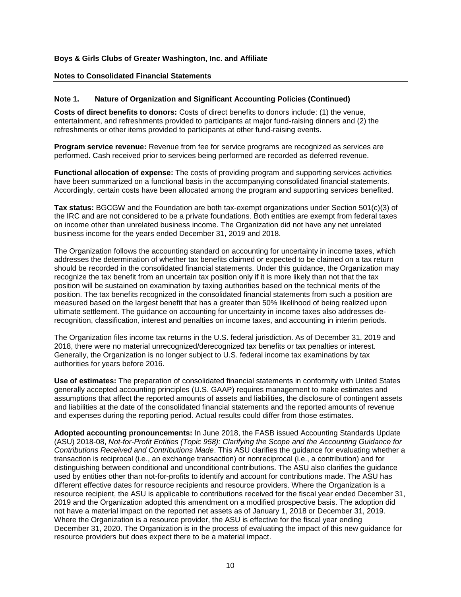### **Notes to Consolidated Financial Statements**

### **Note 1. Nature of Organization and Significant Accounting Policies (Continued)**

**Costs of direct benefits to donors:** Costs of direct benefits to donors include: (1) the venue, entertainment, and refreshments provided to participants at major fund-raising dinners and (2) the refreshments or other items provided to participants at other fund-raising events.

**Program service revenue:** Revenue from fee for service programs are recognized as services are performed. Cash received prior to services being performed are recorded as deferred revenue.

**Functional allocation of expense:** The costs of providing program and supporting services activities have been summarized on a functional basis in the accompanying consolidated financial statements. Accordingly, certain costs have been allocated among the program and supporting services benefited.

**Tax status:** BGCGW and the Foundation are both tax-exempt organizations under Section 501(c)(3) of the IRC and are not considered to be a private foundations. Both entities are exempt from federal taxes on income other than unrelated business income. The Organization did not have any net unrelated business income for the years ended December 31, 2019 and 2018.

The Organization follows the accounting standard on accounting for uncertainty in income taxes, which addresses the determination of whether tax benefits claimed or expected to be claimed on a tax return should be recorded in the consolidated financial statements. Under this guidance, the Organization may recognize the tax benefit from an uncertain tax position only if it is more likely than not that the tax position will be sustained on examination by taxing authorities based on the technical merits of the position. The tax benefits recognized in the consolidated financial statements from such a position are measured based on the largest benefit that has a greater than 50% likelihood of being realized upon ultimate settlement. The guidance on accounting for uncertainty in income taxes also addresses derecognition, classification, interest and penalties on income taxes, and accounting in interim periods.

The Organization files income tax returns in the U.S. federal jurisdiction. As of December 31, 2019 and 2018, there were no material unrecognized/derecognized tax benefits or tax penalties or interest. Generally, the Organization is no longer subject to U.S. federal income tax examinations by tax authorities for years before 2016.

**Use of estimates:** The preparation of consolidated financial statements in conformity with United States generally accepted accounting principles (U.S. GAAP) requires management to make estimates and assumptions that affect the reported amounts of assets and liabilities, the disclosure of contingent assets and liabilities at the date of the consolidated financial statements and the reported amounts of revenue and expenses during the reporting period. Actual results could differ from those estimates.

**Adopted accounting pronouncements:** In June 2018, the FASB issued Accounting Standards Update (ASU) 2018-08, *Not-for-Profit Entities (Topic 958): Clarifying the Scope and the Accounting Guidance for Contributions Received and Contributions Made*. This ASU clarifies the guidance for evaluating whether a transaction is reciprocal (i.e., an exchange transaction) or nonreciprocal (i.e., a contribution) and for distinguishing between conditional and unconditional contributions. The ASU also clarifies the guidance used by entities other than not-for-profits to identify and account for contributions made. The ASU has different effective dates for resource recipients and resource providers. Where the Organization is a resource recipient, the ASU is applicable to contributions received for the fiscal year ended December 31, 2019 and the Organization adopted this amendment on a modified prospective basis. The adoption did not have a material impact on the reported net assets as of January 1, 2018 or December 31, 2019. Where the Organization is a resource provider, the ASU is effective for the fiscal year ending December 31, 2020. The Organization is in the process of evaluating the impact of this new guidance for resource providers but does expect there to be a material impact.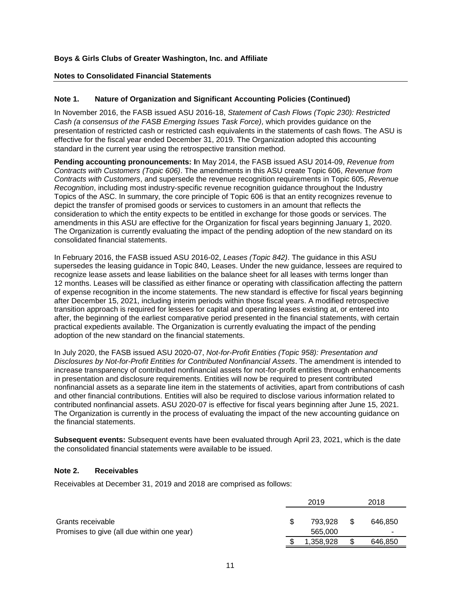### **Notes to Consolidated Financial Statements**

### **Note 1. Nature of Organization and Significant Accounting Policies (Continued)**

In November 2016, the FASB issued ASU 2016-18, *Statement of Cash Flows (Topic 230): Restricted Cash (a consensus of the FASB Emerging Issues Task Force),* which provides guidance on the presentation of restricted cash or restricted cash equivalents in the statements of cash flows. The ASU is effective for the fiscal year ended December 31, 2019. The Organization adopted this accounting standard in the current year using the retrospective transition method.

**Pending accounting pronouncements: I**n May 2014, the FASB issued ASU 2014-09, *Revenue from Contracts with Customers (Topic 606)*. The amendments in this ASU create Topic 606, *Revenue from Contracts with Customers*, and supersede the revenue recognition requirements in Topic 605, *Revenue Recognition*, including most industry-specific revenue recognition guidance throughout the Industry Topics of the ASC. In summary, the core principle of Topic 606 is that an entity recognizes revenue to depict the transfer of promised goods or services to customers in an amount that reflects the consideration to which the entity expects to be entitled in exchange for those goods or services. The amendments in this ASU are effective for the Organization for fiscal years beginning January 1, 2020. The Organization is currently evaluating the impact of the pending adoption of the new standard on its consolidated financial statements.

In February 2016, the FASB issued ASU 2016-02, *Leases (Topic 842)*. The guidance in this ASU supersedes the leasing guidance in Topic 840, Leases. Under the new guidance, lessees are required to recognize lease assets and lease liabilities on the balance sheet for all leases with terms longer than 12 months. Leases will be classified as either finance or operating with classification affecting the pattern of expense recognition in the income statements. The new standard is effective for fiscal years beginning after December 15, 2021, including interim periods within those fiscal years. A modified retrospective transition approach is required for lessees for capital and operating leases existing at, or entered into after, the beginning of the earliest comparative period presented in the financial statements, with certain practical expedients available. The Organization is currently evaluating the impact of the pending adoption of the new standard on the financial statements.

In July 2020, the FASB issued ASU 2020-07, *Not-for-Profit Entities (Topic 958): Presentation and Disclosures by Not-for-Profit Entities for Contributed Nonfinancial Assets*. The amendment is intended to increase transparency of contributed nonfinancial assets for not-for-profit entities through enhancements in presentation and disclosure requirements. Entities will now be required to present contributed nonfinancial assets as a separate line item in the statements of activities, apart from contributions of cash and other financial contributions. Entities will also be required to disclose various information related to contributed nonfinancial assets. ASU 2020-07 is effective for fiscal years beginning after June 15, 2021. The Organization is currently in the process of evaluating the impact of the new accounting guidance on the financial statements.

**Subsequent events:** Subsequent events have been evaluated through April 23, 2021, which is the date the consolidated financial statements were available to be issued.

#### **Note 2. Receivables**

Receivables at December 31, 2019 and 2018 are comprised as follows:

|                                            | 2019          | 2018    |  |
|--------------------------------------------|---------------|---------|--|
| Grants receivable                          | \$<br>793.928 | 646.850 |  |
| Promises to give (all due within one year) | 565,000       |         |  |
|                                            | 1,358,928     | 646,850 |  |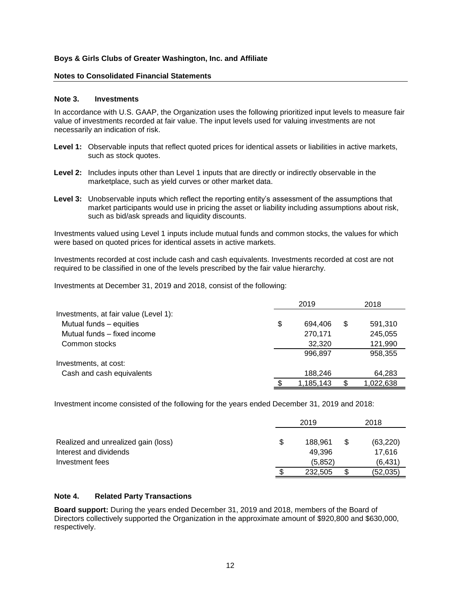### **Notes to Consolidated Financial Statements**

#### **Note 3. Investments**

In accordance with U.S. GAAP, the Organization uses the following prioritized input levels to measure fair value of investments recorded at fair value. The input levels used for valuing investments are not necessarily an indication of risk.

- **Level 1:** Observable inputs that reflect quoted prices for identical assets or liabilities in active markets, such as stock quotes.
- Level 2: Includes inputs other than Level 1 inputs that are directly or indirectly observable in the marketplace, such as yield curves or other market data.
- **Level 3:** Unobservable inputs which reflect the reporting entity's assessment of the assumptions that market participants would use in pricing the asset or liability including assumptions about risk, such as bid/ask spreads and liquidity discounts.

Investments valued using Level 1 inputs include mutual funds and common stocks, the values for which were based on quoted prices for identical assets in active markets.

Investments recorded at cost include cash and cash equivalents. Investments recorded at cost are not required to be classified in one of the levels prescribed by the fair value hierarchy.

Investments at December 31, 2019 and 2018, consist of the following:

|                                       | 2019          | 2018          |
|---------------------------------------|---------------|---------------|
| Investments, at fair value (Level 1): |               |               |
| Mutual funds - equities               | \$<br>694,406 | \$<br>591,310 |
| Mutual funds – fixed income           | 270,171       | 245,055       |
| Common stocks                         | 32,320        | 121,990       |
|                                       | 996.897       | 958,355       |
| Investments, at cost:                 |               |               |
| Cash and cash equivalents             | 188,246       | 64,283        |
|                                       | 1,185,143     | 1,022,638     |

Investment income consisted of the following for the years ended December 31, 2019 and 2018:

|                                     | 2019 |         |   | 2018      |  |  |
|-------------------------------------|------|---------|---|-----------|--|--|
| Realized and unrealized gain (loss) | \$   | 188.961 | S | (63, 220) |  |  |
| Interest and dividends              |      | 49.396  |   | 17.616    |  |  |
| Investment fees                     |      | (5.852) |   | (6,431)   |  |  |
|                                     |      | 232,505 | S | (52,035)  |  |  |

### **Note 4. Related Party Transactions**

**Board support:** During the years ended December 31, 2019 and 2018, members of the Board of Directors collectively supported the Organization in the approximate amount of \$920,800 and \$630,000, respectively.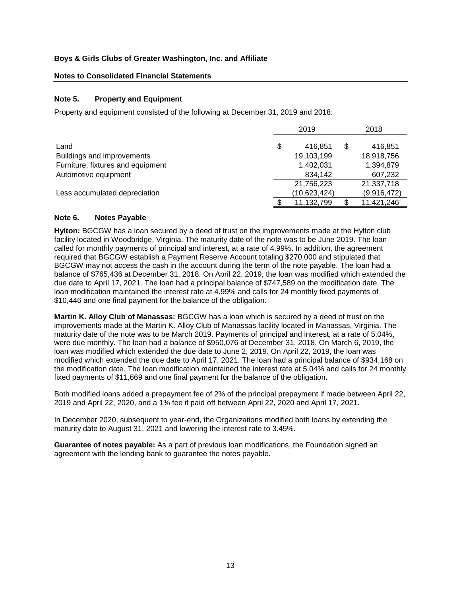### **Notes to Consolidated Financial Statements**

# **Note 5. Property and Equipment**

Property and equipment consisted of the following at December 31, 2019 and 2018:

|                                   |    | 2018         |    |             |
|-----------------------------------|----|--------------|----|-------------|
| Land                              | \$ | 416.851      | \$ | 416,851     |
| Buildings and improvements        |    | 19,103,199   |    | 18,918,756  |
| Furniture, fixtures and equipment |    | 1,402,031    |    | 1,394,879   |
| Automotive equipment              |    | 834.142      |    | 607,232     |
|                                   |    | 21,756,223   |    | 21,337,718  |
| Less accumulated depreciation     |    | (10,623,424) |    | (9,916,472) |
|                                   |    | 11,132,799   |    | 11,421,246  |

# **Note 6. Notes Payable**

**Hylton:** BGCGW has a loan secured by a deed of trust on the improvements made at the Hylton club facility located in Woodbridge, Virginia. The maturity date of the note was to be June 2019. The loan called for monthly payments of principal and interest, at a rate of 4.99%. In addition, the agreement required that BGCGW establish a Payment Reserve Account totaling \$270,000 and stipulated that BGCGW may not access the cash in the account during the term of the note payable. The loan had a balance of \$765,436 at December 31, 2018. On April 22, 2019, the loan was modified which extended the due date to April 17, 2021. The loan had a principal balance of \$747,589 on the modification date. The loan modification maintained the interest rate at 4.99% and calls for 24 monthly fixed payments of \$10,446 and one final payment for the balance of the obligation.

**Martin K. Alloy Club of Manassas:** BGCGW has a loan which is secured by a deed of trust on the improvements made at the Martin K. Alloy Club of Manassas facility located in Manassas, Virginia. The maturity date of the note was to be March 2019. Payments of principal and interest, at a rate of 5.04%, were due monthly. The loan had a balance of \$950,076 at December 31, 2018. On March 6, 2019, the loan was modified which extended the due date to June 2, 2019. On April 22, 2019, the loan was modified which extended the due date to April 17, 2021. The loan had a principal balance of \$934,168 on the modification date. The loan modification maintained the interest rate at 5.04% and calls for 24 monthly fixed payments of \$11,669 and one final payment for the balance of the obligation.

Both modified loans added a prepayment fee of 2% of the principal prepayment if made between April 22, 2019 and April 22, 2020, and a 1% fee if paid off between April 22, 2020 and April 17, 2021.

In December 2020, subsequent to year-end, the Organizations modified both loans by extending the maturity date to August 31, 2021 and lowering the interest rate to 3.45%.

**Guarantee of notes payable:** As a part of previous loan modifications, the Foundation signed an agreement with the lending bank to guarantee the notes payable.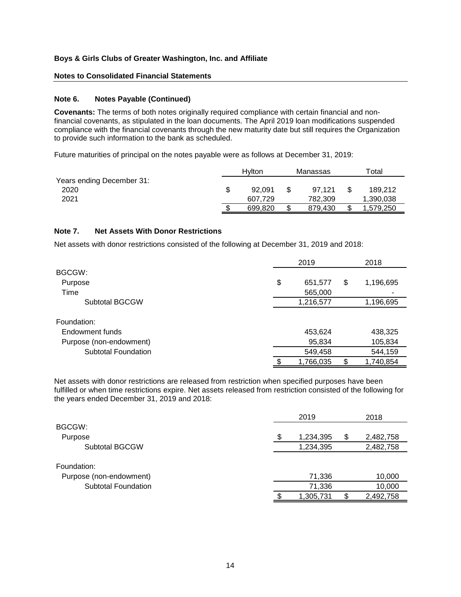# **Notes to Consolidated Financial Statements**

#### **Note 6. Notes Payable (Continued)**

**Covenants:** The terms of both notes originally required compliance with certain financial and nonfinancial covenants, as stipulated in the loan documents. The April 2019 loan modifications suspended compliance with the financial covenants through the new maturity date but still requires the Organization to provide such information to the bank as scheduled.

Future maturities of principal on the notes payable were as follows at December 31, 2019:

|                           | Hylton  | Manassas |         | $\tau$ otal |           |
|---------------------------|---------|----------|---------|-------------|-----------|
| Years ending December 31: |         |          |         |             |           |
| 2020                      | 92.091  |          | 97.121  |             | 189,212   |
| 2021                      | 607.729 |          | 782.309 |             | 1,390,038 |
|                           | 699.820 |          | 879.430 |             | 1.579.250 |

#### **Note 7. Net Assets With Donor Restrictions**

Net assets with donor restrictions consisted of the following at December 31, 2019 and 2018:

|                         | 2019          |    |           |  |
|-------------------------|---------------|----|-----------|--|
| BGCGW:                  |               |    |           |  |
| Purpose                 | \$<br>651,577 | \$ | 1,196,695 |  |
| Time                    | 565,000       |    |           |  |
| Subtotal BGCGW          | 1,216,577     |    | 1,196,695 |  |
|                         |               |    |           |  |
| Foundation:             |               |    |           |  |
| Endowment funds         | 453,624       |    | 438,325   |  |
| Purpose (non-endowment) | 95,834        |    | 105,834   |  |
| Subtotal Foundation     | 549,458       |    | 544,159   |  |
|                         | 1,766,035     |    | 1,740,854 |  |

Net assets with donor restrictions are released from restriction when specified purposes have been fulfilled or when time restrictions expire. Net assets released from restriction consisted of the following for the years ended December 31, 2019 and 2018:

|                            | 2019 |           |    | 2018      |
|----------------------------|------|-----------|----|-----------|
| BGCGW:                     |      |           |    |           |
| Purpose                    |      | 1,234,395 | \$ | 2,482,758 |
| <b>Subtotal BGCGW</b>      |      | 1,234,395 |    | 2,482,758 |
| Foundation:                |      |           |    |           |
| Purpose (non-endowment)    |      | 71,336    |    | 10,000    |
| <b>Subtotal Foundation</b> |      | 71,336    |    | 10,000    |
|                            |      | 1,305,731 |    | 2,492,758 |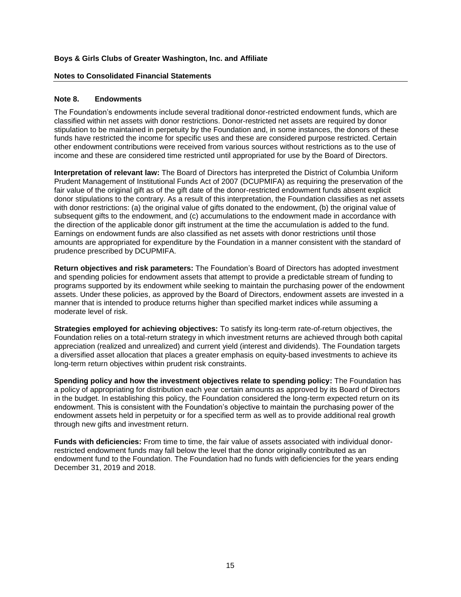### **Notes to Consolidated Financial Statements**

#### **Note 8. Endowments**

The Foundation's endowments include several traditional donor-restricted endowment funds, which are classified within net assets with donor restrictions. Donor-restricted net assets are required by donor stipulation to be maintained in perpetuity by the Foundation and, in some instances, the donors of these funds have restricted the income for specific uses and these are considered purpose restricted. Certain other endowment contributions were received from various sources without restrictions as to the use of income and these are considered time restricted until appropriated for use by the Board of Directors.

**Interpretation of relevant law:** The Board of Directors has interpreted the District of Columbia Uniform Prudent Management of Institutional Funds Act of 2007 (DCUPMIFA) as requiring the preservation of the fair value of the original gift as of the gift date of the donor-restricted endowment funds absent explicit donor stipulations to the contrary. As a result of this interpretation, the Foundation classifies as net assets with donor restrictions: (a) the original value of gifts donated to the endowment, (b) the original value of subsequent gifts to the endowment, and (c) accumulations to the endowment made in accordance with the direction of the applicable donor gift instrument at the time the accumulation is added to the fund. Earnings on endowment funds are also classified as net assets with donor restrictions until those amounts are appropriated for expenditure by the Foundation in a manner consistent with the standard of prudence prescribed by DCUPMIFA.

**Return objectives and risk parameters:** The Foundation's Board of Directors has adopted investment and spending policies for endowment assets that attempt to provide a predictable stream of funding to programs supported by its endowment while seeking to maintain the purchasing power of the endowment assets. Under these policies, as approved by the Board of Directors, endowment assets are invested in a manner that is intended to produce returns higher than specified market indices while assuming a moderate level of risk.

**Strategies employed for achieving objectives:** To satisfy its long-term rate-of-return objectives, the Foundation relies on a total-return strategy in which investment returns are achieved through both capital appreciation (realized and unrealized) and current yield (interest and dividends). The Foundation targets a diversified asset allocation that places a greater emphasis on equity-based investments to achieve its long-term return objectives within prudent risk constraints.

**Spending policy and how the investment objectives relate to spending policy:** The Foundation has a policy of appropriating for distribution each year certain amounts as approved by its Board of Directors in the budget. In establishing this policy, the Foundation considered the long-term expected return on its endowment. This is consistent with the Foundation's objective to maintain the purchasing power of the endowment assets held in perpetuity or for a specified term as well as to provide additional real growth through new gifts and investment return.

**Funds with deficiencies:** From time to time, the fair value of assets associated with individual donorrestricted endowment funds may fall below the level that the donor originally contributed as an endowment fund to the Foundation. The Foundation had no funds with deficiencies for the years ending December 31, 2019 and 2018.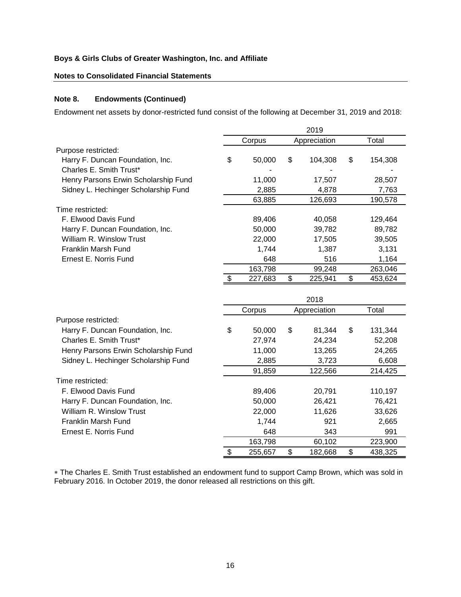# **Notes to Consolidated Financial Statements**

# **Note 8. Endowments (Continued)**

Endowment net assets by donor-restricted fund consist of the following at December 31, 2019 and 2018:

|                                                             | 2019 |         |                         |              |    |         |  |  |
|-------------------------------------------------------------|------|---------|-------------------------|--------------|----|---------|--|--|
|                                                             |      | Corpus  |                         | Appreciation |    | Total   |  |  |
| Purpose restricted:                                         |      |         |                         |              |    |         |  |  |
| Harry F. Duncan Foundation, Inc.<br>Charles E. Smith Trust* | \$   | 50,000  | \$                      | 104,308      | \$ | 154,308 |  |  |
| Henry Parsons Erwin Scholarship Fund                        |      | 11,000  |                         | 17,507       |    | 28,507  |  |  |
| Sidney L. Hechinger Scholarship Fund                        |      | 2,885   |                         | 4,878        |    | 7,763   |  |  |
|                                                             |      | 63,885  |                         | 126,693      |    | 190,578 |  |  |
| Time restricted:                                            |      |         |                         |              |    |         |  |  |
| F. Elwood Davis Fund                                        |      | 89,406  |                         | 40,058       |    | 129,464 |  |  |
| Harry F. Duncan Foundation, Inc.                            |      | 50,000  |                         | 39,782       |    | 89,782  |  |  |
| William R. Winslow Trust                                    |      | 22,000  |                         | 17,505       |    | 39,505  |  |  |
| Franklin Marsh Fund                                         |      | 1,744   |                         | 1,387        |    | 3,131   |  |  |
| Ernest E. Norris Fund                                       |      | 648     |                         | 516          |    | 1,164   |  |  |
|                                                             |      | 163,798 |                         | 99,248       |    | 263,046 |  |  |
|                                                             | \$   | 227,683 | \$                      | 225,941      | \$ | 453,624 |  |  |
|                                                             |      |         |                         | 2018         |    |         |  |  |
|                                                             |      | Corpus  |                         | Appreciation |    | Total   |  |  |
| Purpose restricted:                                         |      |         |                         |              |    |         |  |  |
| Harry F. Duncan Foundation, Inc.                            | \$   | 50,000  | \$                      | 81,344       | \$ | 131,344 |  |  |
| Charles E. Smith Trust*                                     |      | 27,974  |                         | 24,234       |    | 52,208  |  |  |
| Henry Parsons Erwin Scholarship Fund                        |      | 11,000  |                         | 13,265       |    | 24,265  |  |  |
| Sidney L. Hechinger Scholarship Fund                        |      | 2,885   |                         | 3,723        |    | 6,608   |  |  |
|                                                             |      | 91,859  |                         | 122,566      |    | 214,425 |  |  |
| Time restricted:                                            |      |         |                         |              |    |         |  |  |
| F. Elwood Davis Fund                                        |      | 89,406  |                         | 20,791       |    | 110,197 |  |  |
| Harry F. Duncan Foundation, Inc.                            |      | 50,000  |                         | 26,421       |    | 76,421  |  |  |
| William R. Winslow Trust                                    |      | 22,000  |                         | 11,626       |    | 33,626  |  |  |
| <b>Franklin Marsh Fund</b>                                  |      | 1,744   |                         | 921          |    | 2,665   |  |  |
| Ernest E. Norris Fund                                       |      | 648     |                         | 343          |    | 991     |  |  |
|                                                             |      | 163,798 |                         | 60,102       |    | 223,900 |  |  |
|                                                             | \$   | 255,657 | $\overline{\mathbf{e}}$ | 182,668      | \$ | 438,325 |  |  |

 The Charles E. Smith Trust established an endowment fund to support Camp Brown, which was sold in February 2016. In October 2019, the donor released all restrictions on this gift.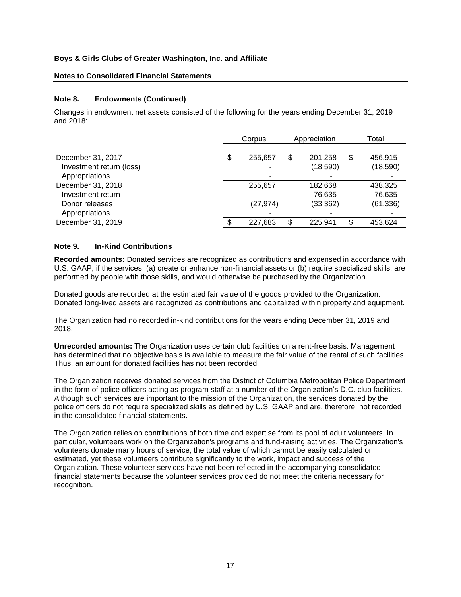### **Notes to Consolidated Financial Statements**

### **Note 8. Endowments (Continued)**

Changes in endowment net assets consisted of the following for the years ending December 31, 2019 and  $2018$ 

|                                                                 |   | Corpus    | Appreciation              | Total                      |
|-----------------------------------------------------------------|---|-----------|---------------------------|----------------------------|
| December 31, 2017<br>Investment return (loss)<br>Appropriations | S | 255,657   | \$<br>201,258<br>(18,590) | \$<br>456,915<br>(18, 590) |
| December 31, 2018<br>Investment return                          |   | 255,657   | 182,668<br>76,635         | 438,325<br>76,635          |
| Donor releases<br>Appropriations                                |   | (27, 974) | (33, 362)                 | (61, 336)                  |
| December 31, 2019                                               |   | 227,683   | 225,941                   | 453,624                    |

### **Note 9. In-Kind Contributions**

**Recorded amounts:** Donated services are recognized as contributions and expensed in accordance with U.S. GAAP, if the services: (a) create or enhance non-financial assets or (b) require specialized skills, are performed by people with those skills, and would otherwise be purchased by the Organization.

Donated goods are recorded at the estimated fair value of the goods provided to the Organization. Donated long-lived assets are recognized as contributions and capitalized within property and equipment.

The Organization had no recorded in-kind contributions for the years ending December 31, 2019 and 2018.

**Unrecorded amounts:** The Organization uses certain club facilities on a rent-free basis. Management has determined that no objective basis is available to measure the fair value of the rental of such facilities. Thus, an amount for donated facilities has not been recorded.

The Organization receives donated services from the District of Columbia Metropolitan Police Department in the form of police officers acting as program staff at a number of the Organization's D.C. club facilities. Although such services are important to the mission of the Organization, the services donated by the police officers do not require specialized skills as defined by U.S. GAAP and are, therefore, not recorded in the consolidated financial statements.

The Organization relies on contributions of both time and expertise from its pool of adult volunteers. In particular, volunteers work on the Organization's programs and fund-raising activities. The Organization's volunteers donate many hours of service, the total value of which cannot be easily calculated or estimated, yet these volunteers contribute significantly to the work, impact and success of the Organization. These volunteer services have not been reflected in the accompanying consolidated financial statements because the volunteer services provided do not meet the criteria necessary for recognition.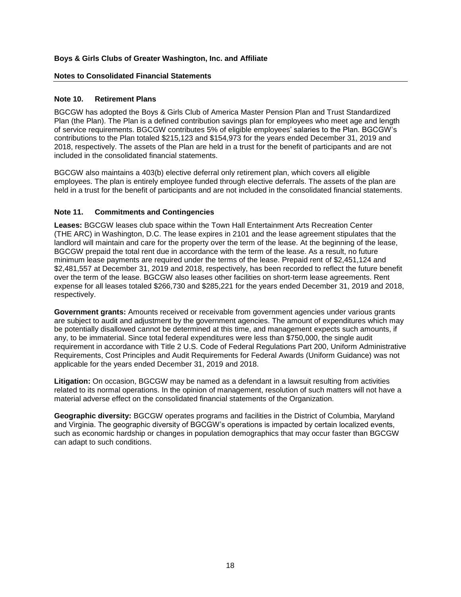### **Notes to Consolidated Financial Statements**

### **Note 10. Retirement Plans**

BGCGW has adopted the Boys & Girls Club of America Master Pension Plan and Trust Standardized Plan (the Plan). The Plan is a defined contribution savings plan for employees who meet age and length of service requirements. BGCGW contributes 5% of eligible employees' salaries to the Plan. BGCGW's contributions to the Plan totaled \$215,123 and \$154,973 for the years ended December 31, 2019 and 2018, respectively. The assets of the Plan are held in a trust for the benefit of participants and are not included in the consolidated financial statements.

BGCGW also maintains a 403(b) elective deferral only retirement plan, which covers all eligible employees. The plan is entirely employee funded through elective deferrals. The assets of the plan are held in a trust for the benefit of participants and are not included in the consolidated financial statements.

# **Note 11. Commitments and Contingencies**

**Leases:** BGCGW leases club space within the Town Hall Entertainment Arts Recreation Center (THE ARC) in Washington, D.C. The lease expires in 2101 and the lease agreement stipulates that the landlord will maintain and care for the property over the term of the lease. At the beginning of the lease, BGCGW prepaid the total rent due in accordance with the term of the lease. As a result, no future minimum lease payments are required under the terms of the lease. Prepaid rent of \$2,451,124 and \$2,481,557 at December 31, 2019 and 2018, respectively, has been recorded to reflect the future benefit over the term of the lease. BGCGW also leases other facilities on short-term lease agreements. Rent expense for all leases totaled \$266,730 and \$285,221 for the years ended December 31, 2019 and 2018, respectively.

**Government grants:** Amounts received or receivable from government agencies under various grants are subject to audit and adjustment by the government agencies. The amount of expenditures which may be potentially disallowed cannot be determined at this time, and management expects such amounts, if any, to be immaterial. Since total federal expenditures were less than \$750,000, the single audit requirement in accordance with Title 2 U.S. Code of Federal Regulations Part 200, Uniform Administrative Requirements, Cost Principles and Audit Requirements for Federal Awards (Uniform Guidance) was not applicable for the years ended December 31, 2019 and 2018.

**Litigation:** On occasion, BGCGW may be named as a defendant in a lawsuit resulting from activities related to its normal operations. In the opinion of management, resolution of such matters will not have a material adverse effect on the consolidated financial statements of the Organization.

**Geographic diversity:** BGCGW operates programs and facilities in the District of Columbia, Maryland and Virginia. The geographic diversity of BGCGW's operations is impacted by certain localized events, such as economic hardship or changes in population demographics that may occur faster than BGCGW can adapt to such conditions.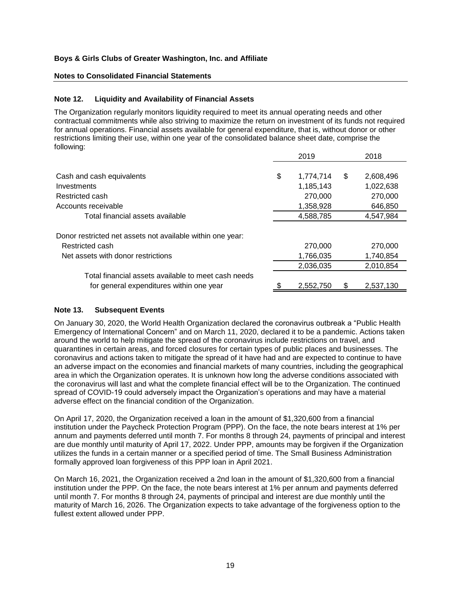### **Notes to Consolidated Financial Statements**

### **Note 12. Liquidity and Availability of Financial Assets**

The Organization regularly monitors liquidity required to meet its annual operating needs and other contractual commitments while also striving to maximize the return on investment of its funds not required for annual operations. Financial assets available for general expenditure, that is, without donor or other restrictions limiting their use, within one year of the consolidated balance sheet date, comprise the following:

|                                                            | 2019            | 2018            |
|------------------------------------------------------------|-----------------|-----------------|
| Cash and cash equivalents                                  | \$<br>1,774,714 | \$<br>2,608,496 |
| Investments                                                | 1,185,143       | 1,022,638       |
| Restricted cash                                            | 270,000         | 270,000         |
| Accounts receivable                                        | 1,358,928       | 646,850         |
| Total financial assets available                           | 4,588,785       | 4,547,984       |
| Donor restricted net assets not available within one year: |                 |                 |
| Restricted cash                                            | 270,000         | 270,000         |
| Net assets with donor restrictions                         | 1,766,035       | 1,740,854       |
|                                                            | 2,036,035       | 2,010,854       |
| Total financial assets available to meet cash needs        |                 |                 |
| for general expenditures within one year                   | 2,552,750       | 2,537,130       |
|                                                            |                 |                 |

### **Note 13. Subsequent Events**

On January 30, 2020, the World Health Organization declared the coronavirus outbreak a "Public Health Emergency of International Concern" and on March 11, 2020, declared it to be a pandemic. Actions taken around the world to help mitigate the spread of the coronavirus include restrictions on travel, and quarantines in certain areas, and forced closures for certain types of public places and businesses. The coronavirus and actions taken to mitigate the spread of it have had and are expected to continue to have an adverse impact on the economies and financial markets of many countries, including the geographical area in which the Organization operates. It is unknown how long the adverse conditions associated with the coronavirus will last and what the complete financial effect will be to the Organization. The continued spread of COVID-19 could adversely impact the Organization's operations and may have a material adverse effect on the financial condition of the Organization.

On April 17, 2020, the Organization received a loan in the amount of \$1,320,600 from a financial institution under the Paycheck Protection Program (PPP). On the face, the note bears interest at 1% per annum and payments deferred until month 7. For months 8 through 24, payments of principal and interest are due monthly until maturity of April 17, 2022. Under PPP, amounts may be forgiven if the Organization utilizes the funds in a certain manner or a specified period of time. The Small Business Administration formally approved loan forgiveness of this PPP loan in April 2021.

On March 16, 2021, the Organization received a 2nd loan in the amount of \$1,320,600 from a financial institution under the PPP. On the face, the note bears interest at 1% per annum and payments deferred until month 7. For months 8 through 24, payments of principal and interest are due monthly until the maturity of March 16, 2026. The Organization expects to take advantage of the forgiveness option to the fullest extent allowed under PPP.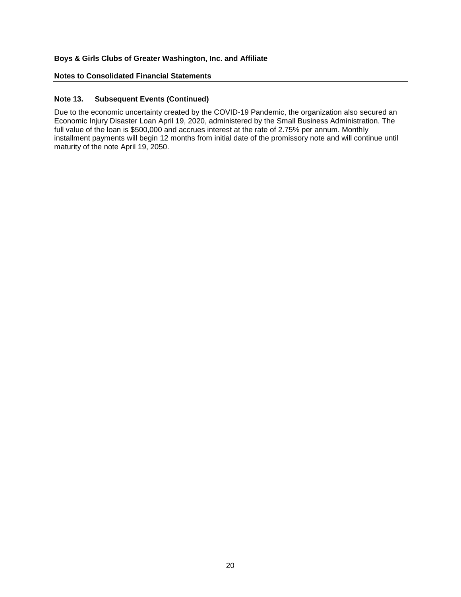### **Notes to Consolidated Financial Statements**

# **Note 13. Subsequent Events (Continued)**

Due to the economic uncertainty created by the COVID-19 Pandemic, the organization also secured an Economic Injury Disaster Loan April 19, 2020, administered by the Small Business Administration. The full value of the loan is \$500,000 and accrues interest at the rate of 2.75% per annum. Monthly installment payments will begin 12 months from initial date of the promissory note and will continue until maturity of the note April 19, 2050.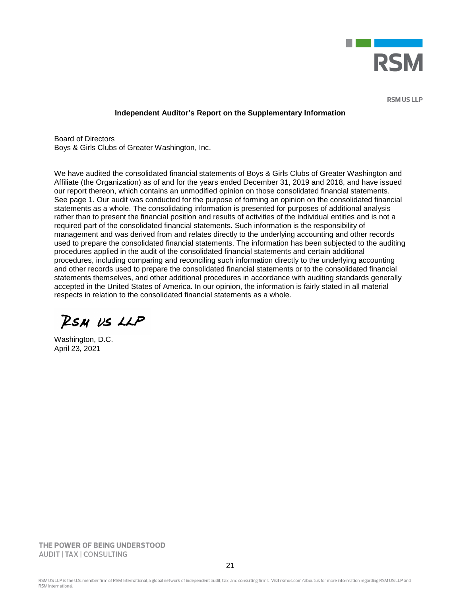

**RSM US LLP** 

#### **Independent Auditor's Report on the Supplementary Information**

Board of Directors Boys & Girls Clubs of Greater Washington, Inc.

We have audited the consolidated financial statements of Boys & Girls Clubs of Greater Washington and Affiliate (the Organization) as of and for the years ended December 31, 2019 and 2018, and have issued our report thereon, which contains an unmodified opinion on those consolidated financial statements. See page 1. Our audit was conducted for the purpose of forming an opinion on the consolidated financial statements as a whole. The consolidating information is presented for purposes of additional analysis rather than to present the financial position and results of activities of the individual entities and is not a required part of the consolidated financial statements. Such information is the responsibility of management and was derived from and relates directly to the underlying accounting and other records used to prepare the consolidated financial statements. The information has been subjected to the auditing procedures applied in the audit of the consolidated financial statements and certain additional procedures, including comparing and reconciling such information directly to the underlying accounting and other records used to prepare the consolidated financial statements or to the consolidated financial statements themselves, and other additional procedures in accordance with auditing standards generally accepted in the United States of America. In our opinion, the information is fairly stated in all material respects in relation to the consolidated financial statements as a whole.

RSM US LLP

Washington, D.C. April 23, 2021

THE POWER OF BEING UNDERSTOOD AUDIT | TAX | CONSULTING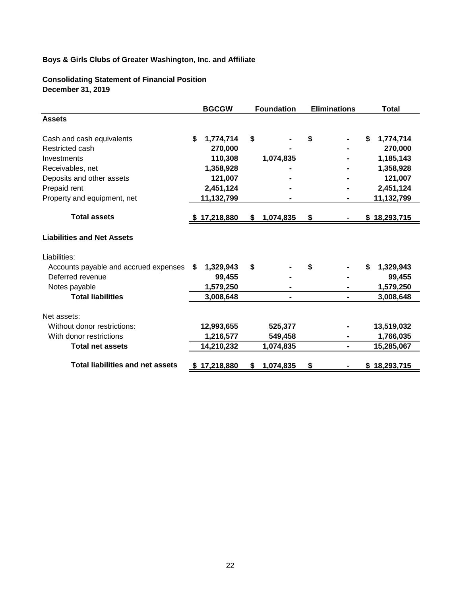**Consolidating Statement of Financial Position December 31, 2019** 

|                                         |    | <b>BGCGW</b> | <b>Foundation</b> |           | <b>Eliminations</b> |  |    | <b>Total</b> |
|-----------------------------------------|----|--------------|-------------------|-----------|---------------------|--|----|--------------|
| <b>Assets</b>                           |    |              |                   |           |                     |  |    |              |
| Cash and cash equivalents               | \$ | 1,774,714    | \$                |           | \$                  |  | \$ | 1,774,714    |
| Restricted cash                         |    | 270,000      |                   |           |                     |  |    | 270,000      |
| Investments                             |    | 110,308      |                   | 1,074,835 |                     |  |    | 1,185,143    |
| Receivables, net                        |    | 1,358,928    |                   |           |                     |  |    | 1,358,928    |
| Deposits and other assets               |    | 121,007      |                   |           |                     |  |    | 121,007      |
| Prepaid rent                            |    | 2,451,124    |                   |           |                     |  |    | 2,451,124    |
| Property and equipment, net             |    | 11,132,799   |                   |           |                     |  |    | 11,132,799   |
| <b>Total assets</b>                     |    | \$17,218,880 | S.                | 1,074,835 | \$                  |  |    | \$18,293,715 |
| <b>Liabilities and Net Assets</b>       |    |              |                   |           |                     |  |    |              |
| Liabilities:                            |    |              |                   |           |                     |  |    |              |
| Accounts payable and accrued expenses   | S  | 1,329,943    | \$                |           | S                   |  | S  | 1,329,943    |
| Deferred revenue                        |    | 99,455       |                   |           |                     |  |    | 99,455       |
| Notes payable                           |    | 1,579,250    |                   |           |                     |  |    | 1,579,250    |
| <b>Total liabilities</b>                |    | 3,008,648    |                   |           |                     |  |    | 3,008,648    |
| Net assets:                             |    |              |                   |           |                     |  |    |              |
| Without donor restrictions:             |    | 12,993,655   |                   | 525,377   |                     |  |    | 13,519,032   |
| With donor restrictions                 |    | 1,216,577    |                   | 549,458   |                     |  |    | 1,766,035    |
| <b>Total net assets</b>                 |    | 14,210,232   |                   | 1,074,835 |                     |  |    | 15,285,067   |
| <b>Total liabilities and net assets</b> |    | \$17,218,880 | S                 | 1,074,835 | \$                  |  |    | \$18,293,715 |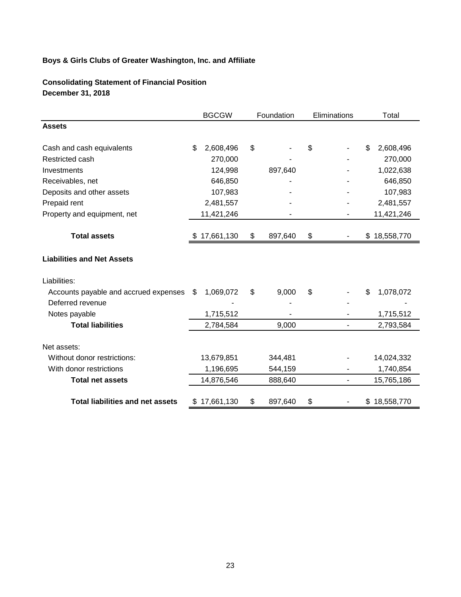**Consolidating Statement of Financial Position December 31, 2018**

|                                         | <b>BGCGW</b>    | Foundation    |    | Eliminations             |     | Total        |
|-----------------------------------------|-----------------|---------------|----|--------------------------|-----|--------------|
| <b>Assets</b>                           |                 |               |    |                          |     |              |
| Cash and cash equivalents               | \$<br>2,608,496 | \$            | \$ |                          | \$. | 2,608,496    |
| Restricted cash                         | 270,000         |               |    |                          |     | 270,000      |
| Investments                             | 124,998         | 897,640       |    |                          |     | 1,022,638    |
| Receivables, net                        | 646,850         |               |    |                          |     | 646,850      |
| Deposits and other assets               | 107,983         |               |    |                          |     | 107,983      |
| Prepaid rent                            | 2,481,557       |               |    |                          |     | 2,481,557    |
| Property and equipment, net             | 11,421,246      |               |    |                          |     | 11,421,246   |
| <b>Total assets</b>                     | 17,661,130      | \$<br>897,640 | \$ |                          |     | \$18,558,770 |
| <b>Liabilities and Net Assets</b>       |                 |               |    |                          |     |              |
| Liabilities:                            |                 |               |    |                          |     |              |
| Accounts payable and accrued expenses   | \$<br>1,069,072 | \$<br>9,000   | \$ |                          | \$  | 1,078,072    |
| Deferred revenue                        |                 |               |    |                          |     |              |
| Notes payable                           | 1,715,512       |               |    |                          |     | 1,715,512    |
| <b>Total liabilities</b>                | 2,784,584       | 9,000         |    | $\overline{\phantom{m}}$ |     | 2,793,584    |
| Net assets:                             |                 |               |    |                          |     |              |
| Without donor restrictions:             | 13,679,851      | 344,481       |    |                          |     | 14,024,332   |
| With donor restrictions                 | 1,196,695       | 544,159       |    |                          |     | 1,740,854    |
| <b>Total net assets</b>                 | 14,876,546      | 888,640       |    | $\blacksquare$           |     | 15,765,186   |
| <b>Total liabilities and net assets</b> | 17,661,130      | \$<br>897,640 | \$ |                          |     | \$18,558,770 |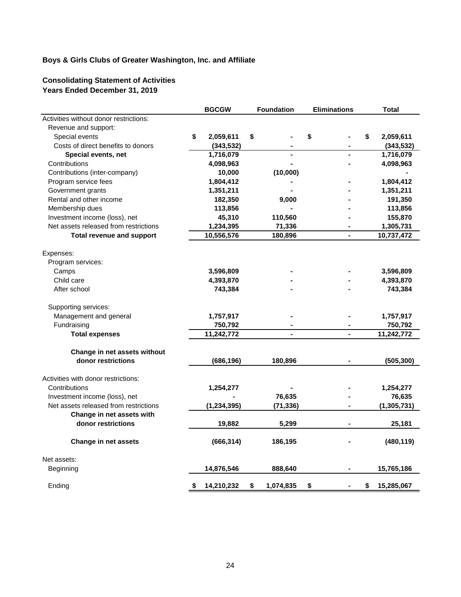# **Consolidating Statement of Activities Years Ended December 31, 2019**

|                                        | <b>BGCGW</b>     | <b>Foundation</b> | <b>Eliminations</b> | <b>Total</b>     |
|----------------------------------------|------------------|-------------------|---------------------|------------------|
| Activities without donor restrictions: |                  |                   |                     |                  |
| Revenue and support:                   |                  |                   |                     |                  |
| Special events                         | \$<br>2,059,611  | \$                | \$                  | \$<br>2,059,611  |
| Costs of direct benefits to donors     | (343, 532)       |                   |                     | (343, 532)       |
| Special events, net                    | 1,716,079        |                   | $\blacksquare$      | 1,716,079        |
| Contributions                          | 4,098,963        |                   |                     | 4,098,963        |
| Contributions (inter-company)          | 10,000           | (10,000)          |                     |                  |
| Program service fees                   | 1,804,412        |                   |                     | 1,804,412        |
| Government grants                      | 1,351,211        |                   |                     | 1,351,211        |
| Rental and other income                | 182,350          | 9,000             |                     | 191,350          |
| Membership dues                        | 113,856          |                   |                     | 113,856          |
| Investment income (loss), net          | 45,310           | 110,560           |                     | 155,870          |
| Net assets released from restrictions  | 1,234,395        | 71,336            | $\blacksquare$      | 1,305,731        |
| <b>Total revenue and support</b>       | 10,556,576       | 180,896           | ä,                  | 10,737,472       |
| Expenses:                              |                  |                   |                     |                  |
| Program services:                      |                  |                   |                     |                  |
| Camps                                  | 3,596,809        |                   |                     | 3,596,809        |
| Child care                             | 4,393,870        |                   |                     | 4,393,870        |
| After school                           | 743,384          |                   |                     | 743,384          |
| Supporting services:                   |                  |                   |                     |                  |
| Management and general                 | 1,757,917        |                   |                     | 1,757,917        |
| Fundraising                            | 750,792          |                   |                     | 750,792          |
| <b>Total expenses</b>                  | 11,242,772       |                   |                     | 11,242,772       |
| Change in net assets without           |                  |                   |                     |                  |
| donor restrictions                     | (686, 196)       | 180,896           |                     | (505, 300)       |
| Activities with donor restrictions:    |                  |                   |                     |                  |
| Contributions                          | 1,254,277        |                   |                     | 1,254,277        |
| Investment income (loss), net          |                  | 76,635            |                     | 76,635           |
| Net assets released from restrictions  | (1,234,395)      | (71, 336)         |                     | (1, 305, 731)    |
| Change in net assets with              |                  |                   |                     |                  |
| donor restrictions                     | 19,882           | 5,299             |                     | 25,181           |
| Change in net assets                   | (666, 314)       | 186,195           |                     | (480, 119)       |
| Net assets:                            |                  |                   |                     |                  |
| Beginning                              | 14,876,546       | 888,640           |                     | 15,765,186       |
| Ending                                 | \$<br>14,210,232 | \$<br>1,074,835   | \$                  | \$<br>15,285,067 |